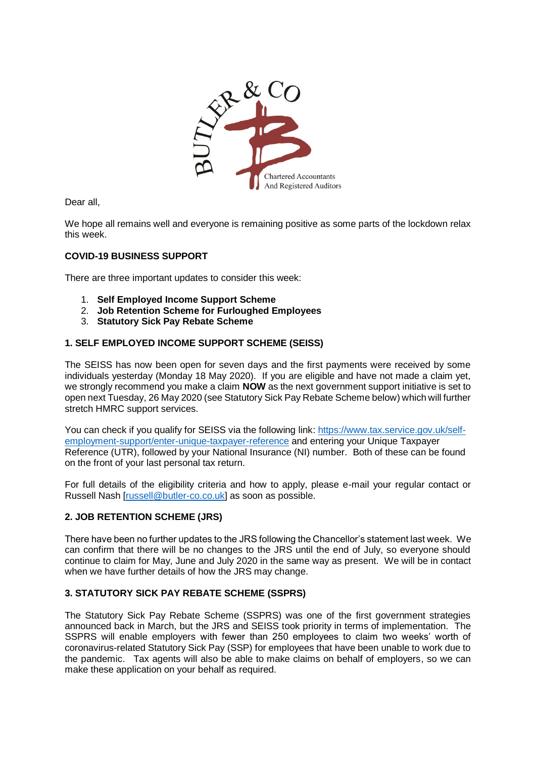

Dear all,

We hope all remains well and everyone is remaining positive as some parts of the lockdown relax this week.

# **COVID-19 BUSINESS SUPPORT**

There are three important updates to consider this week:

- 1. **Self Employed Income Support Scheme**
- 2. **Job Retention Scheme for Furloughed Employees**
- 3. **Statutory Sick Pay Rebate Scheme**

# **1. SELF EMPLOYED INCOME SUPPORT SCHEME (SEISS)**

The SEISS has now been open for seven days and the first payments were received by some individuals yesterday (Monday 18 May 2020). If you are eligible and have not made a claim yet, we strongly recommend you make a claim **NOW** as the next government support initiative is set to open next Tuesday, 26 May 2020 (see Statutory Sick Pay Rebate Scheme below) which will further stretch HMRC support services.

You can check if you qualify for SEISS via the following link: [https://www.tax.service.gov.uk/self](https://www.tax.service.gov.uk/self-employment-support/enter-unique-taxpayer-reference)[employment-support/enter-unique-taxpayer-reference](https://www.tax.service.gov.uk/self-employment-support/enter-unique-taxpayer-reference) and entering your Unique Taxpayer Reference (UTR), followed by your National Insurance (NI) number. Both of these can be found on the front of your last personal tax return.

For full details of the eligibility criteria and how to apply, please e-mail your regular contact or Russell Nash [\[russell@butler-co.co.uk\]](mailto:russell@butler-co.co.uk) as soon as possible.

### **2. JOB RETENTION SCHEME (JRS)**

There have been no further updates to the JRS following the Chancellor's statement last week. We can confirm that there will be no changes to the JRS until the end of July, so everyone should continue to claim for May, June and July 2020 in the same way as present. We will be in contact when we have further details of how the JRS may change.

# **3. STATUTORY SICK PAY REBATE SCHEME (SSPRS)**

The Statutory Sick Pay Rebate Scheme (SSPRS) was one of the first government strategies announced back in March, but the JRS and SEISS took priority in terms of implementation. The SSPRS will enable employers with fewer than 250 employees to claim two weeks' worth of coronavirus-related Statutory Sick Pay (SSP) for employees that have been unable to work due to the pandemic. Tax agents will also be able to make claims on behalf of employers, so we can make these application on your behalf as required.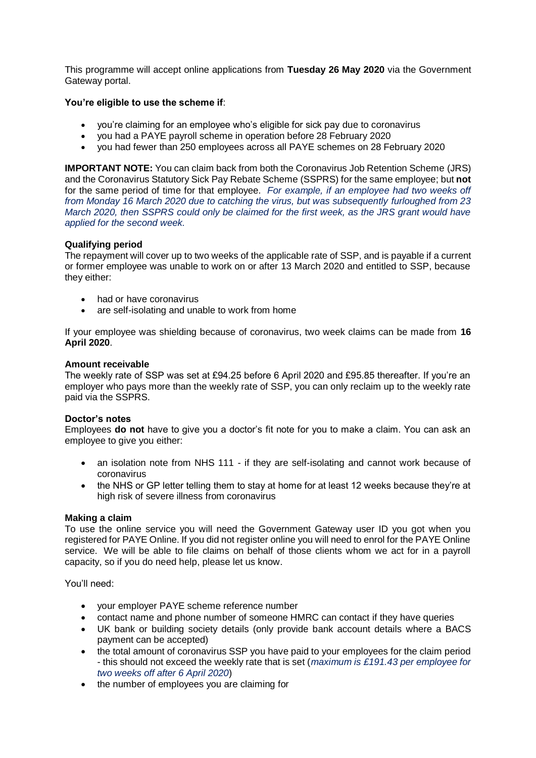This programme will accept online applications from **Tuesday 26 May 2020** via the Government Gateway portal.

## **You're eligible to use the scheme if**:

- you're claiming for an employee who's eligible for sick pay due to coronavirus
- you had a PAYE payroll scheme in operation before 28 February 2020
- you had fewer than 250 employees across all PAYE schemes on 28 February 2020

**IMPORTANT NOTE:** You can claim back from both the Coronavirus Job Retention Scheme (JRS) and the Coronavirus Statutory Sick Pay Rebate Scheme (SSPRS) for the same employee; but **not** for the same period of time for that employee. *For example, if an employee had two weeks off from Monday 16 March 2020 due to catching the virus, but was subsequently furloughed from 23 March 2020, then SSPRS could only be claimed for the first week, as the JRS grant would have applied for the second week.* 

## **Qualifying period**

The repayment will cover up to two weeks of the applicable rate of SSP, and is payable if a current or former employee was unable to work on or after 13 March 2020 and entitled to SSP, because they either:

- had or have coronavirus
- are self-isolating and unable to work from home

If your employee was shielding because of coronavirus, two week claims can be made from **16 April 2020**.

### **Amount receivable**

The weekly rate of SSP was set at £94.25 before 6 April 2020 and £95.85 thereafter. If you're an employer who pays more than the weekly rate of SSP, you can only reclaim up to the weekly rate paid via the SSPRS.

### **Doctor's notes**

Employees **do not** have to give you a doctor's fit note for you to make a claim. You can ask an employee to give you either:

- an isolation note from NHS 111 if they are self-isolating and cannot work because of coronavirus
- the NHS or GP letter telling them to stay at home for at least 12 weeks because they're at high risk of severe illness from coronavirus

### **Making a claim**

To use the online service you will need the Government Gateway user ID you got when you registered for PAYE Online. If you did not register online you will need to enrol for the PAYE Online service. We will be able to file claims on behalf of those clients whom we act for in a payroll capacity, so if you do need help, please let us know.

You'll need:

- your employer PAYE scheme reference number
- contact name and phone number of someone HMRC can contact if they have queries
- UK bank or building society details (only provide bank account details where a BACS payment can be accepted)
- the total amount of coronavirus SSP you have paid to your employees for the claim period - this should not exceed the weekly rate that is set (*maximum is £191.43 per employee for two weeks off after 6 April 2020*)
- the number of employees you are claiming for